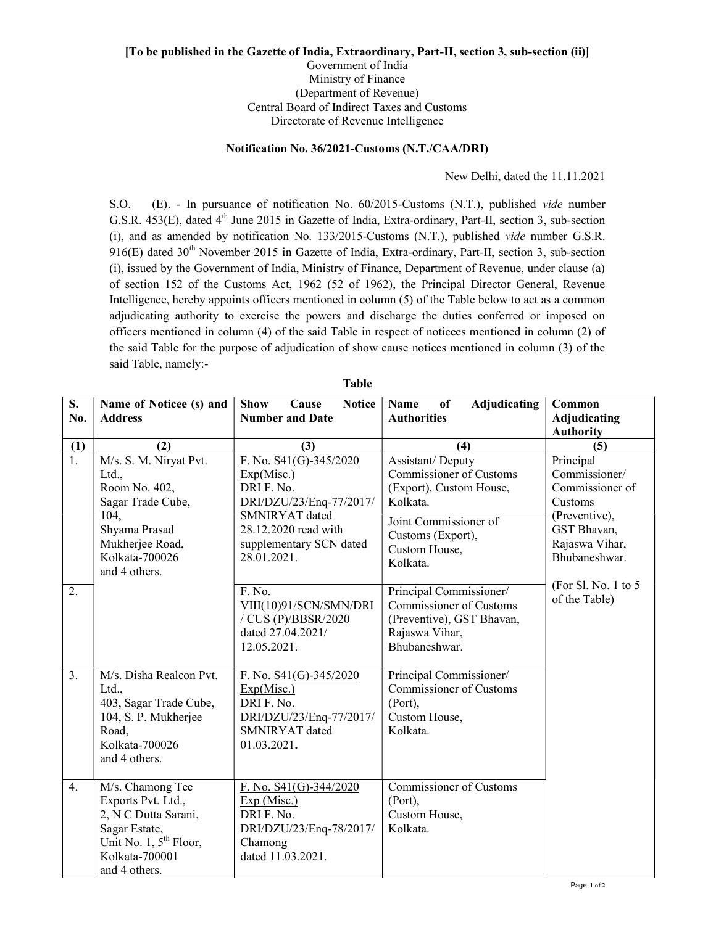## [To be published in the Gazette of India, Extraordinary, Part-II, section 3, sub-section (ii)] Government of India Ministry of Finance (Department of Revenue) Central Board of Indirect Taxes and Customs Directorate of Revenue Intelligence

## Notification No. 36/2021-Customs (N.T./CAA/DRI)

New Delhi, dated the 11.11.2021

S.O. (E). - In pursuance of notification No. 60/2015-Customs (N.T.), published vide number G.S.R. 453(E), dated 4<sup>th</sup> June 2015 in Gazette of India, Extra-ordinary, Part-II, section 3, sub-section (i), and as amended by notification No. 133/2015-Customs (N.T.), published vide number G.S.R. 916(E) dated 30<sup>th</sup> November 2015 in Gazette of India, Extra-ordinary, Part-II, section 3, sub-section (i), issued by the Government of India, Ministry of Finance, Department of Revenue, under clause (a) of section 152 of the Customs Act, 1962 (52 of 1962), the Principal Director General, Revenue Intelligence, hereby appoints officers mentioned in column (5) of the Table below to act as a common adjudicating authority to exercise the powers and discharge the duties conferred or imposed on officers mentioned in column (4) of the said Table in respect of noticees mentioned in column (2) of the said Table for the purpose of adjudication of show cause notices mentioned in column (3) of the said Table, namely:-

| S.<br>No.        | Name of Noticee (s) and                                                                                                                                    | <b>Show</b><br><b>Notice</b><br>Cause<br><b>Number and Date</b>                                                                                                   | Name<br>of<br><b>Adjudicating</b><br><b>Authorities</b>                                                                                                              | Common                                                                                                                      |
|------------------|------------------------------------------------------------------------------------------------------------------------------------------------------------|-------------------------------------------------------------------------------------------------------------------------------------------------------------------|----------------------------------------------------------------------------------------------------------------------------------------------------------------------|-----------------------------------------------------------------------------------------------------------------------------|
|                  | <b>Address</b>                                                                                                                                             |                                                                                                                                                                   |                                                                                                                                                                      | Adjudicating<br><b>Authority</b>                                                                                            |
| (1)              | (2)                                                                                                                                                        | (3)                                                                                                                                                               | (4)                                                                                                                                                                  | (5)                                                                                                                         |
| $\overline{1}$ . | M/s. S. M. Niryat Pvt.<br>Ltd.,<br>Room No. 402,<br>Sagar Trade Cube,<br>104,<br>Shyama Prasad<br>Mukherjee Road,<br>Kolkata-700026<br>and 4 others.       | F. No. S41(G)-345/2020<br>Exp(Misc.)<br>DRI F. No.<br>DRI/DZU/23/Enq-77/2017/<br>SMNIRYAT dated<br>28.12.2020 read with<br>supplementary SCN dated<br>28.01.2021. | Assistant/Deputy<br><b>Commissioner of Customs</b><br>(Export), Custom House,<br>Kolkata.<br>Joint Commissioner of<br>Customs (Export),<br>Custom House,<br>Kolkata. | Principal<br>Commissioner/<br>Commissioner of<br>Customs<br>(Preventive),<br>GST Bhavan,<br>Rajaswa Vihar,<br>Bhubaneshwar. |
| 2.               |                                                                                                                                                            | F. No.<br>VIII(10)91/SCN/SMN/DRI<br>/ CUS (P)/BBSR/2020<br>dated 27.04.2021/<br>12.05.2021.                                                                       | Principal Commissioner/<br><b>Commissioner of Customs</b><br>(Preventive), GST Bhavan,<br>Rajaswa Vihar,<br>Bhubaneshwar.                                            | (For Sl. No. 1 to 5)<br>of the Table)                                                                                       |
| 3.               | M/s. Disha Realcon Pvt.<br>Ltd.,<br>403, Sagar Trade Cube,<br>104, S. P. Mukherjee<br>Road,<br>Kolkata-700026<br>and 4 others.                             | F. No. $S41(G) - 345/2020$<br>Exp(Misc.)<br>DRI F. No.<br>DRI/DZU/23/Enq-77/2017/<br>SMNIRYAT dated<br>01.03.2021.                                                | Principal Commissioner/<br><b>Commissioner of Customs</b><br>(Port),<br>Custom House,<br>Kolkata.                                                                    |                                                                                                                             |
| 4.               | M/s. Chamong Tee<br>Exports Pvt. Ltd.,<br>2, N C Dutta Sarani,<br>Sagar Estate,<br>Unit No. $1, 5$ <sup>th</sup> Floor,<br>Kolkata-700001<br>and 4 others. | F. No. $S41(G) - 344/2020$<br>Exp(Misc.)<br>DRI F. No.<br>DRI/DZU/23/Enq-78/2017/<br>Chamong<br>dated 11.03.2021.                                                 | <b>Commissioner of Customs</b><br>(Port),<br>Custom House,<br>Kolkata.                                                                                               |                                                                                                                             |

Table